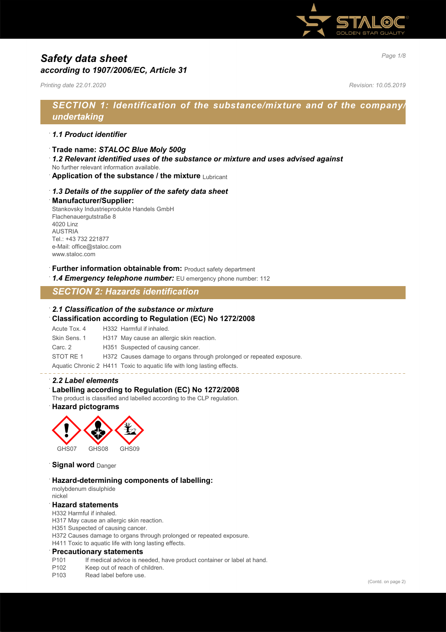

# *Page 1/8 Safety data sheet according to 1907/2006/EC, Article 31*

*Printing date 22.01.2020 Revision: 10.05.2019*

# *SECTION 1: Identification of the substance/mixture and of the company/ undertaking*

### · *1.1 Product identifier*

- · **Trade name:** *STALOC Blue Moly 500g*
- · *1.2 Relevant identified uses of the substance or mixture and uses advised against*
- No further relevant information available.
- **Application of the substance / the mixture Lubricant**

# · *1.3 Details of the supplier of the safety data sheet*

#### · **Manufacturer/Supplier:**

Stankovsky Industrieprodukte Handels GmbH Flachenauergutstraße 8 4020 Linz AUSTRIA Tel.: +43 732 221877 e-Mail: office@staloc.com www.staloc.com

### **Further information obtainable from:** Product safety department

**1.4 Emergency telephone number:** EU emergency phone number: 112

# *SECTION 2: Hazards identification*

#### · *2.1 Classification of the substance or mixture*

### · **Classification according to Regulation (EC) No 1272/2008**

Acute Tox. 4 H332 Harmful if inhaled. Skin Sens. 1 H317 May cause an allergic skin reaction. Carc. 2 H351 Suspected of causing cancer. STOT RE 1 H372 Causes damage to organs through prolonged or repeated exposure. Aquatic Chronic 2 H411 Toxic to aquatic life with long lasting effects.

#### · *2.2 Label elements*

### Labelling according to Regulation (EC) No 1272/2008

The product is classified and labelled according to the CLP regulation.

### · **Hazard pictograms**



#### **Signal word** Danger

### · **Hazard-determining components of labelling:**

molybdenum disulphide nickel

### · **Hazard statements**

H332 Harmful if inhaled.

H317 May cause an allergic skin reaction.

H351 Suspected of causing cancer.

- H372 Causes damage to organs through prolonged or repeated exposure.
- H411 Toxic to aquatic life with long lasting effects.

#### · **Precautionary statements**

- P101 If medical advice is needed, have product container or label at hand.<br>P102 Keep out of reach of children
- Keep out of reach of children.
- P103 Read label before use.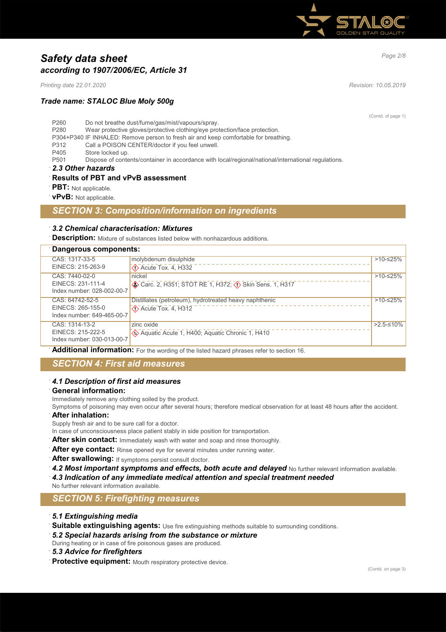

# *Page 2/8 Safety data sheet according to 1907/2006/EC, Article 31*

*Printing date 22.01.2020 Revision: 10.05.2019*

# *Trade name: STALOC Blue Moly 500g*

(Contd. of page 1)

P260 Do not breathe dust/fume/gas/mist/vapours/spray. P280 Wear protective gloves/protective clothing/eye protection/face protection. P304+P340 IF INHALED: Remove person to fresh air and keep comfortable for breathing. P312 Call a POISON CENTER/doctor if you feel unwell. P405 Store locked up.<br>P501 Dispose of conte Dispose of contents/container in accordance with local/regional/national/international regulations.

· *2.3 Other hazards*

# · **Results of PBT and vPvB assessment**

**PBT:** Not applicable.

· **vPvB:** Not applicable.

# *SECTION 3: Composition/information on ingredients*

### · *3.2 Chemical characterisation: Mixtures*

**Description:** Mixture of substances listed below with nonhazardous additions.

| Dangerous components:      |                                                                            |             |  |  |
|----------------------------|----------------------------------------------------------------------------|-------------|--|--|
| CAS: 1317-33-5             | molybdenum disulphide                                                      | >10-≤25%    |  |  |
| EINECS: 215-263-9          | $\Diamond$ Acute Tox. 4, H332                                              |             |  |  |
| CAS: 7440-02-0             | nickel                                                                     | >10-≤25%    |  |  |
| EINECS: 231-111-4          | Carc. 2, H351; STOT RE 1, H372; $\langle \cdot \rangle$ Skin Sens. 1, H317 |             |  |  |
| Index number: 028-002-00-7 |                                                                            |             |  |  |
| CAS: 64742-52-5            | Distillates (petroleum), hydrotreated heavy naphthenic                     | $>10-≤25%$  |  |  |
| EINECS: 265-155-0          | $\Diamond$ Acute Tox. 4, H312                                              |             |  |  |
| Index number: 649-465-00-7 |                                                                            |             |  |  |
| CAS: 1314-13-2             | zinc oxide                                                                 | $>2.5-10\%$ |  |  |
| EINECS: 215-222-5          | Aquatic Acute 1, H400; Aquatic Chronic 1, H410                             |             |  |  |
| Index number: 030-013-00-7 |                                                                            |             |  |  |

· **Additional information:** For the wording of the listed hazard phrases refer to section 16.

# *SECTION 4: First aid measures*

#### · *4.1 Description of first aid measures*

#### · **General information:**

Immediately remove any clothing soiled by the product.

Symptoms of poisoning may even occur after several hours; therefore medical observation for at least 48 hours after the accident. · **After inhalation:**

Supply fresh air and to be sure call for a doctor.

In case of unconsciousness place patient stably in side position for transportation.

- After skin contact: Immediately wash with water and soap and rinse thoroughly.
- After eye contact: Rinse opened eye for several minutes under running water.
- After swallowing: If symptoms persist consult doctor.
- 4.2 Most important symptoms and effects, both acute and delayed No further relevant information available.
- · *4.3 Indication of any immediate medical attention and special treatment needed*
- No further relevant information available.

# *SECTION 5: Firefighting measures*

- · *5.1 Extinguishing media*
- · **Suitable extinguishing agents:** Use fire extinguishing methods suitable to surrounding conditions.
- · *5.2 Special hazards arising from the substance or mixture*

During heating or in case of fire poisonous gases are produced.

- · *5.3 Advice for firefighters*
- · **Protective equipment:** Mouth respiratory protective device.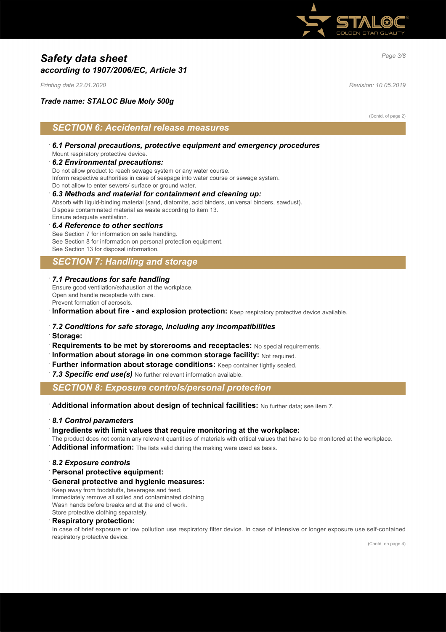

# *Page 3/8 Safety data sheet according to 1907/2006/EC, Article 31*

*Printing date 22.01.2020 Revision: 10.05.2019*

### *Trade name: STALOC Blue Moly 500g*

(Contd. of page 2)

# *SECTION 6: Accidental release measures*

- · *6.1 Personal precautions, protective equipment and emergency procedures* Mount respiratory protective device.
- · *6.2 Environmental precautions:*

Do not allow product to reach sewage system or any water course. Inform respective authorities in case of seepage into water course or sewage system. Do not allow to enter sewers/ surface or ground water.

### · *6.3 Methods and material for containment and cleaning up:*

Absorb with liquid-binding material (sand, diatomite, acid binders, universal binders, sawdust). Dispose contaminated material as waste according to item 13. Ensure adequate ventilation.

· *6.4 Reference to other sections* See Section 7 for information on safe handling. See Section 8 for information on personal protection equipment.

See Section 13 for disposal information.

# *SECTION 7: Handling and storage*

### · *7.1 Precautions for safe handling*

Ensure good ventilation/exhaustion at the workplace. Open and handle receptacle with care. Prevent formation of aerosols.

**Information about fire - and explosion protection:** Keep respiratory protective device available.

### · *7.2 Conditions for safe storage, including any incompatibilities*

· **Storage:**

- · **Requirements to be met by storerooms and receptacles:** No special requirements.
- **Information about storage in one common storage facility: Not required.**
- Further information about storage conditions: Keep container tightly sealed.
- 7.3 Specific end use(s) No further relevant information available.

# *SECTION 8: Exposure controls/personal protection*

· **Additional information about design of technical facilities:** No further data; see item 7.

#### · *8.1 Control parameters*

#### · **Ingredients with limit values that require monitoring at the workplace:**

The product does not contain any relevant quantities of materials with critical values that have to be monitored at the workplace.

· **Additional information:** The lists valid during the making were used as basis.

- · *8.2 Exposure controls*
- · **Personal protective equipment:**
- · **General protective and hygienic measures:**

Keep away from foodstuffs, beverages and feed. Immediately remove all soiled and contaminated clothing Wash hands before breaks and at the end of work. Store protective clothing separately.

### · **Respiratory protection:**

In case of brief exposure or low pollution use respiratory filter device. In case of intensive or longer exposure use self-contained respiratory protective device.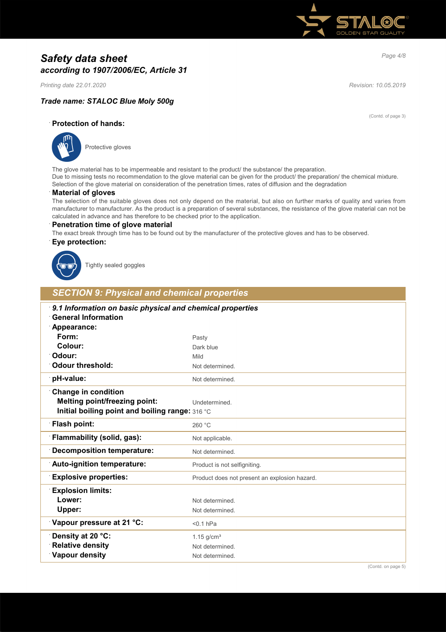

# *Page 4/8 Safety data sheet according to 1907/2006/EC, Article 31*

*Printing date 22.01.2020 Revision: 10.05.2019*

(Contd. of page 3)

# *Trade name: STALOC Blue Moly 500g*

· **Protection of hands:**



Protective gloves

The glove material has to be impermeable and resistant to the product/ the substance/ the preparation. Due to missing tests no recommendation to the glove material can be given for the product/ the preparation/ the chemical mixture. Selection of the glove material on consideration of the penetration times, rates of diffusion and the degradation

### · **Material of gloves**

The selection of the suitable gloves does not only depend on the material, but also on further marks of quality and varies from manufacturer to manufacturer. As the product is a preparation of several substances, the resistance of the glove material can not be calculated in advance and has therefore to be checked prior to the application.

#### · **Penetration time of glove material**

The exact break through time has to be found out by the manufacturer of the protective gloves and has to be observed.

### · **Eye protection:**



Tightly sealed goggles

# *SECTION 9: Physical and chemical properties*

| 9.1 Information on basic physical and chemical properties<br><b>General Information</b> |                                               |  |
|-----------------------------------------------------------------------------------------|-----------------------------------------------|--|
| Appearance:<br>Form:                                                                    |                                               |  |
| Colour:                                                                                 | Pasty<br>Dark blue                            |  |
| Odour:                                                                                  | Mild                                          |  |
| <b>Odour threshold:</b>                                                                 |                                               |  |
|                                                                                         | Not determined.                               |  |
| pH-value:                                                                               | Not determined.                               |  |
| <b>Change in condition</b>                                                              |                                               |  |
| <b>Melting point/freezing point:</b>                                                    | Undetermined.                                 |  |
| Initial boiling point and boiling range: 316 °C                                         |                                               |  |
| Flash point:                                                                            | 260 °C                                        |  |
| Flammability (solid, gas):                                                              | Not applicable.                               |  |
| <b>Decomposition temperature:</b>                                                       | Not determined.                               |  |
| Auto-ignition temperature:                                                              | Product is not selfigniting.                  |  |
| <b>Explosive properties:</b>                                                            | Product does not present an explosion hazard. |  |
| <b>Explosion limits:</b>                                                                |                                               |  |
| Lower:                                                                                  | Not determined.                               |  |
| Upper:                                                                                  | Not determined.                               |  |
| Vapour pressure at 21 °C:                                                               | $< 0.1$ hPa                                   |  |
| Density at 20 °C:                                                                       | $1.15$ g/cm <sup>3</sup>                      |  |
| <b>Relative density</b>                                                                 | Not determined.                               |  |
| Vapour density                                                                          | Not determined.                               |  |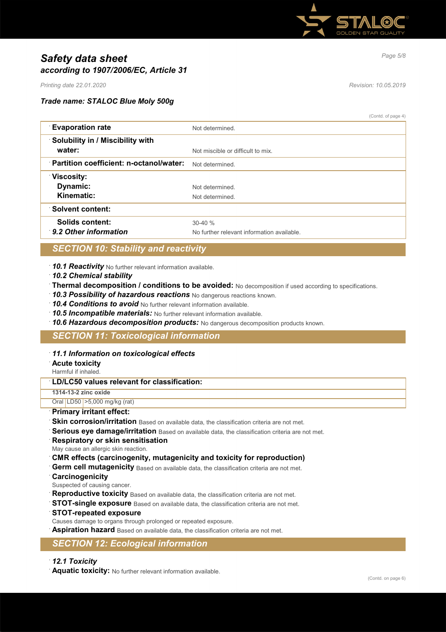

# *Page 5/8 Safety data sheet according to 1907/2006/EC, Article 31*

*Printing date 22.01.2020 Revision: 10.05.2019*

### *Trade name: STALOC Blue Moly 500g*

(Contd. of page 4)

| <b>Evaporation rate</b>                 | Not determined                             |
|-----------------------------------------|--------------------------------------------|
| Solubility in / Miscibility with        |                                            |
| water:                                  | Not miscible or difficult to mix.          |
| Partition coefficient: n-octanol/water: | Not determined.                            |
| <b>Viscosity:</b>                       |                                            |
| Dynamic:                                | Not determined                             |
| Kinematic:                              | Not determined                             |
| <b>Solvent content:</b>                 |                                            |
| Solids content:                         | $30-40%$                                   |
| 9.2 Other information                   | No further relevant information available. |

# *SECTION 10: Stability and reactivity*

· *10.1 Reactivity* No further relevant information available.

- · *10.2 Chemical stability*
- · **Thermal decomposition / conditions to be avoided:** No decomposition if used according to specifications.
- · *10.3 Possibility of hazardous reactions* No dangerous reactions known.
- · *10.4 Conditions to avoid* No further relevant information available.
- · *10.5 Incompatible materials:* No further relevant information available.
- · *10.6 Hazardous decomposition products:* No dangerous decomposition products known.

# *SECTION 11: Toxicological information*

### · *11.1 Information on toxicological effects*

### · **Acute toxicity**

Harmful if inhaled.

# · **LD/LC50 values relevant for classification:**

**1314-13-2 zinc oxide** Oral LD50 >5,000 mg/kg (rat)

- · **Primary irritant effect:**
- **Skin corrosion/irritation** Based on available data, the classification criteria are not met.
- **Serious eye damage/irritation** Based on available data, the classification criteria are not met.
- · **Respiratory or skin sensitisation**
- May cause an allergic skin reaction.

### · **CMR effects (carcinogenity, mutagenicity and toxicity for reproduction)**

- **Germ cell mutagenicity** Based on available data, the classification criteria are not met.
- · **Carcinogenicity**
- Suspected of causing cancer.
- Reproductive toxicity Based on available data, the classification criteria are not met.
- **STOT-single exposure** Based on available data, the classification criteria are not met.
- · **STOT-repeated exposure**
- Causes damage to organs through prolonged or repeated exposure.
- **Aspiration hazard** Based on available data, the classification criteria are not met.

# *SECTION 12: Ecological information*

### · *12.1 Toxicity*

· **Aquatic toxicity:** No further relevant information available.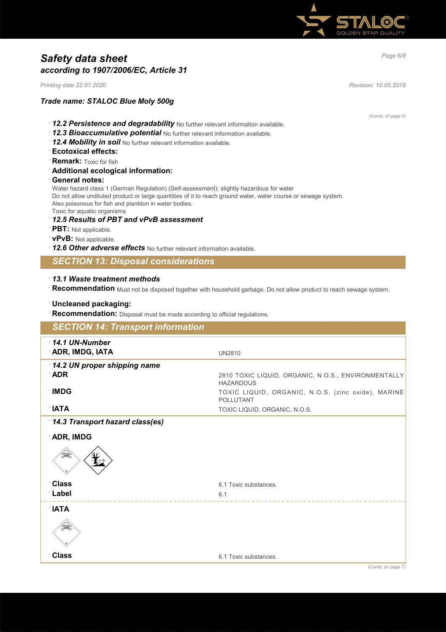

# *Page 6/8 Safety data sheet according to 1907/2006/EC, Article 31*

*Printing date 22.01.2020 Revision: 10.05.2019*

# *Trade name: STALOC Blue Moly 500g*

(Contd. of page 5)

- · *12.2 Persistence and degradability* No further relevant information available.
- · *12.3 Bioaccumulative potential* No further relevant information available.
- · *12.4 Mobility in soil* No further relevant information available.
- · **Ecotoxical effects:**
- **Remark:** Toxic for fish
- · **Additional ecological information:**
- · **General notes:**

Water hazard class 1 (German Regulation) (Self-assessment): slightly hazardous for water Do not allow undiluted product or large quantities of it to reach ground water, water course or sewage system. Also poisonous for fish and plankton in water bodies. Toxic for aquatic organisms

- · *12.5 Results of PBT and vPvB assessment*
- · **PBT:** Not applicable.
- · **vPvB:** Not applicable.
- · *12.6 Other adverse effects* No further relevant information available.

*SECTION 13: Disposal considerations*

### · *13.1 Waste treatment methods*

· **Recommendation** Must not be disposed together with household garbage. Do not allow product to reach sewage system.

### · **Uncleaned packaging:**

· **Recommendation:** Disposal must be made according to official regulations.

| <b>SECTION 14: Transport information</b> |                                                                         |
|------------------------------------------|-------------------------------------------------------------------------|
| $\cdot$ 14.1 UN-Number                   |                                                                         |
| ADR, IMDG, IATA                          | <b>UN2810</b>                                                           |
| 14.2 UN proper shipping name             |                                                                         |
| <b>ADR</b>                               | 2810 TOXIC LIQUID, ORGANIC, N.O.S., ENVIRONMENTALLY<br><b>HAZARDOUS</b> |
| <b>IMDG</b>                              | TOXIC LIQUID, ORGANIC, N.O.S. (zinc oxide), MARINE<br><b>POLLUTANT</b>  |
| ∴IATA                                    | TOXIC LIQUID, ORGANIC, N.O.S.                                           |
| 14.3 Transport hazard class(es)          |                                                                         |
| <b>ADR, IMDG</b>                         |                                                                         |
| ☀                                        |                                                                         |
| <b>Class</b>                             | 6.1 Toxic substances.                                                   |
| Label                                    | 6.1                                                                     |
| $\mathsf{T}$ IATA                        |                                                                         |
| ₩                                        |                                                                         |
| <b>Class</b>                             | 6.1 Toxic substances.                                                   |
|                                          | (0.15)                                                                  |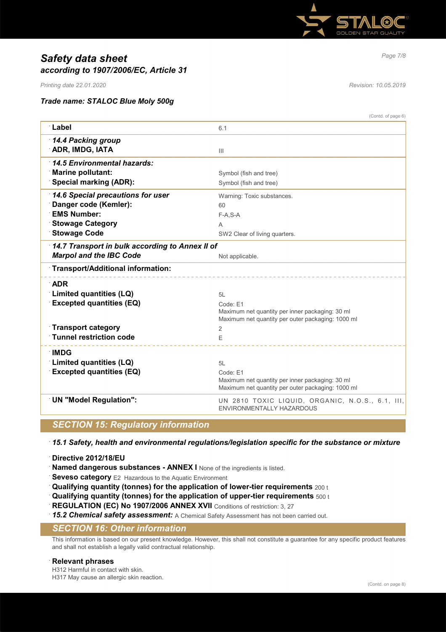

# *Page 7/8 Safety data sheet according to 1907/2006/EC, Article 31*

*Printing date 22.01.2020 Revision: 10.05.2019*

### *Trade name: STALOC Blue Moly 500g*

| <b>Label</b><br>6.1<br>14.4 Packing group<br>ADR, IMDG, IATA<br>$\mathbf{III}$<br>14.5 Environmental hazards:<br><b>Marine pollutant:</b><br>Symbol (fish and tree)<br><b>Special marking (ADR):</b><br>Symbol (fish and tree)<br>14.6 Special precautions for user<br>Warning: Toxic substances.<br>Danger code (Kemler):<br>60<br><b>EMS Number:</b><br>$F-A, S-A$<br><b>Stowage Category</b><br>Α<br><b>Stowage Code</b><br>SW2 Clear of living quarters.<br>14.7 Transport in bulk according to Annex II of<br><b>Marpol and the IBC Code</b><br>Not applicable.<br>Transport/Additional information:<br><b>ADR</b><br>Limited quantities (LQ)<br>5L<br><b>Excepted quantities (EQ)</b><br>Code: E1<br>Maximum net quantity per inner packaging: 30 ml<br>Maximum net quantity per outer packaging: 1000 ml<br>Transport category<br>2<br>Tunnel restriction code<br>F<br>∶IMDG<br>Limited quantities (LQ)<br>5L<br><b>Excepted quantities (EQ)</b><br>Code: E1<br>Maximum net quantity per inner packaging: 30 ml<br>Maximum net quantity per outer packaging: 1000 ml<br><b>UN "Model Regulation":</b><br>UN 2810 TOXIC LIQUID, ORGANIC, N.O.S., 6.1, III,<br>ENVIRONMENTALLY HAZARDOUS | (Contd. of page 6) |
|-----------------------------------------------------------------------------------------------------------------------------------------------------------------------------------------------------------------------------------------------------------------------------------------------------------------------------------------------------------------------------------------------------------------------------------------------------------------------------------------------------------------------------------------------------------------------------------------------------------------------------------------------------------------------------------------------------------------------------------------------------------------------------------------------------------------------------------------------------------------------------------------------------------------------------------------------------------------------------------------------------------------------------------------------------------------------------------------------------------------------------------------------------------------------------------------------|--------------------|
|                                                                                                                                                                                                                                                                                                                                                                                                                                                                                                                                                                                                                                                                                                                                                                                                                                                                                                                                                                                                                                                                                                                                                                                               |                    |
|                                                                                                                                                                                                                                                                                                                                                                                                                                                                                                                                                                                                                                                                                                                                                                                                                                                                                                                                                                                                                                                                                                                                                                                               |                    |
|                                                                                                                                                                                                                                                                                                                                                                                                                                                                                                                                                                                                                                                                                                                                                                                                                                                                                                                                                                                                                                                                                                                                                                                               |                    |
|                                                                                                                                                                                                                                                                                                                                                                                                                                                                                                                                                                                                                                                                                                                                                                                                                                                                                                                                                                                                                                                                                                                                                                                               |                    |
|                                                                                                                                                                                                                                                                                                                                                                                                                                                                                                                                                                                                                                                                                                                                                                                                                                                                                                                                                                                                                                                                                                                                                                                               |                    |
|                                                                                                                                                                                                                                                                                                                                                                                                                                                                                                                                                                                                                                                                                                                                                                                                                                                                                                                                                                                                                                                                                                                                                                                               |                    |
|                                                                                                                                                                                                                                                                                                                                                                                                                                                                                                                                                                                                                                                                                                                                                                                                                                                                                                                                                                                                                                                                                                                                                                                               |                    |
|                                                                                                                                                                                                                                                                                                                                                                                                                                                                                                                                                                                                                                                                                                                                                                                                                                                                                                                                                                                                                                                                                                                                                                                               |                    |
|                                                                                                                                                                                                                                                                                                                                                                                                                                                                                                                                                                                                                                                                                                                                                                                                                                                                                                                                                                                                                                                                                                                                                                                               |                    |
|                                                                                                                                                                                                                                                                                                                                                                                                                                                                                                                                                                                                                                                                                                                                                                                                                                                                                                                                                                                                                                                                                                                                                                                               |                    |
|                                                                                                                                                                                                                                                                                                                                                                                                                                                                                                                                                                                                                                                                                                                                                                                                                                                                                                                                                                                                                                                                                                                                                                                               |                    |
|                                                                                                                                                                                                                                                                                                                                                                                                                                                                                                                                                                                                                                                                                                                                                                                                                                                                                                                                                                                                                                                                                                                                                                                               |                    |
|                                                                                                                                                                                                                                                                                                                                                                                                                                                                                                                                                                                                                                                                                                                                                                                                                                                                                                                                                                                                                                                                                                                                                                                               |                    |
|                                                                                                                                                                                                                                                                                                                                                                                                                                                                                                                                                                                                                                                                                                                                                                                                                                                                                                                                                                                                                                                                                                                                                                                               |                    |
|                                                                                                                                                                                                                                                                                                                                                                                                                                                                                                                                                                                                                                                                                                                                                                                                                                                                                                                                                                                                                                                                                                                                                                                               |                    |
|                                                                                                                                                                                                                                                                                                                                                                                                                                                                                                                                                                                                                                                                                                                                                                                                                                                                                                                                                                                                                                                                                                                                                                                               |                    |
|                                                                                                                                                                                                                                                                                                                                                                                                                                                                                                                                                                                                                                                                                                                                                                                                                                                                                                                                                                                                                                                                                                                                                                                               |                    |
|                                                                                                                                                                                                                                                                                                                                                                                                                                                                                                                                                                                                                                                                                                                                                                                                                                                                                                                                                                                                                                                                                                                                                                                               |                    |
|                                                                                                                                                                                                                                                                                                                                                                                                                                                                                                                                                                                                                                                                                                                                                                                                                                                                                                                                                                                                                                                                                                                                                                                               |                    |
|                                                                                                                                                                                                                                                                                                                                                                                                                                                                                                                                                                                                                                                                                                                                                                                                                                                                                                                                                                                                                                                                                                                                                                                               |                    |
|                                                                                                                                                                                                                                                                                                                                                                                                                                                                                                                                                                                                                                                                                                                                                                                                                                                                                                                                                                                                                                                                                                                                                                                               |                    |
|                                                                                                                                                                                                                                                                                                                                                                                                                                                                                                                                                                                                                                                                                                                                                                                                                                                                                                                                                                                                                                                                                                                                                                                               |                    |
|                                                                                                                                                                                                                                                                                                                                                                                                                                                                                                                                                                                                                                                                                                                                                                                                                                                                                                                                                                                                                                                                                                                                                                                               |                    |
|                                                                                                                                                                                                                                                                                                                                                                                                                                                                                                                                                                                                                                                                                                                                                                                                                                                                                                                                                                                                                                                                                                                                                                                               |                    |
|                                                                                                                                                                                                                                                                                                                                                                                                                                                                                                                                                                                                                                                                                                                                                                                                                                                                                                                                                                                                                                                                                                                                                                                               |                    |
|                                                                                                                                                                                                                                                                                                                                                                                                                                                                                                                                                                                                                                                                                                                                                                                                                                                                                                                                                                                                                                                                                                                                                                                               |                    |
|                                                                                                                                                                                                                                                                                                                                                                                                                                                                                                                                                                                                                                                                                                                                                                                                                                                                                                                                                                                                                                                                                                                                                                                               |                    |

# *SECTION 15: Regulatory information*

· *15.1 Safety, health and environmental regulations/legislation specific for the substance or mixture*

- · **Directive 2012/18/EU**
- **Named dangerous substances ANNEX I** None of the ingredients is listed.
- **Seveso category** E2 Hazardous to the Aquatic Environment
- · **Qualifying quantity (tonnes) for the application of lower-tier requirements** 200 t
- · **Qualifying quantity (tonnes) for the application of upper-tier requirements** 500 t
- **REGULATION (EC) No 1907/2006 ANNEX XVII** Conditions of restriction: 3, 27
- 15.2 Chemical safety assessment: A Chemical Safety Assessment has not been carried out.

# *SECTION 16: Other information*

This information is based on our present knowledge. However, this shall not constitute a guarantee for any specific product features and shall not establish a legally valid contractual relationship.

### · **Relevant phrases**

H312 Harmful in contact with skin. H317 May cause an allergic skin reaction.